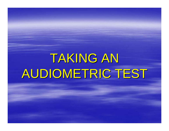# TAKING AN AUDIOMETRIC TEST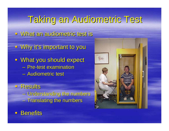## Taking an Audiometric Test Taking an Audiometric Test

- **u** What an audiometric test is
- $\blacksquare$  Why it's important to you
- **What you should expect** – Pre-test examination – Audiometric test
- □ Results – Understanding the numbers  $-$  Translating the numbers



**Benefits**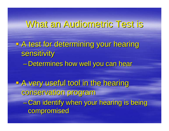#### What an Audiometric Test is

**A test for determining your hearing** sensitivity – <del>Jan Karl II.</del><br>Vyhy tysy – Determines how well you can hear

**E A very useful tool in the hearing** conservation program conservation program - Can identify when your hearing is being compromised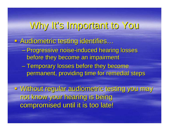# Why It's Important to You It's Important to You

**BAudiometric testing identifies…** 

- Progressive noise-induced hearing losses before they become an impairment
- $\mathcal{L}_{\mathcal{A}}$ – Temporary losses before they become permanent, providing time for remedial steps

u Without regular audiometric testing you may not know your hearing is being compromised until it is too late!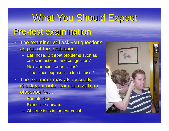# What You Should Expect

#### Pre -test examination test examination

- $\blacksquare$  The examiner will ask you questions as part of the evaluation…
	- Ear, nose, & throat problems such as colds, infections, and congestion?
	- Noisy hobbies or activities?
	- $-$  Time since exposure to loud noise?
- $\blacksquare$  The examiner may also visually check your outer ear canal with an otoscope for...
	- Ear infections
	- Excessive earwax
	- $-$  Obstructions in the ear canal

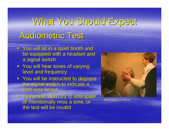# What You Should Expect Audiometric Test

#### **Fig. 2** You will sit in a quiet booth and be equipped with a headset and a signal switch

- **Nou will hear tones of varying** level and frequency
- You will be instructed to depress the signal switch to indicate a tone was heard
- Be honest; don't try to anticipate or intentionally miss a tone, or the test will be invalid



Photo courtesy of NIOSH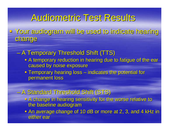## Audiometric Test Results Audiometric Test Results

 Your audiogram will be used to indicate hearing Your audiogram will be used to indicate hearing change

– A Temporary Threshold Shift (TTS)

- **A temporary reduction in hearing due to fatigue of the ear** caused by noise exposure
- $\blacksquare$  Temporary hearing loss  $-$  indicates the potential for  $\,$ permanent loss

 $\mathcal{L}_{\mathcal{A}}$ - A Standard Threshold Shift (STS)

- **A change in hearing sensitivity for the worse relative to** the baseline audiogram
- **An average change of 10 dB or more at 2, 3, and 4 kHz in** either ear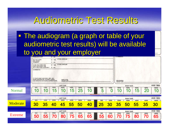#### Audiometric Test Results

• The audiogram (a graph or table of your audiometric test results) will be available to you and your employer

|                | <b>PROBLEM NOW?</b>                                                                                                         | $\Box$ NO                     |                                     |            |            |                 |                   |            | <b>COMMENTS</b>                      |                          |            |            |                          |
|----------------|-----------------------------------------------------------------------------------------------------------------------------|-------------------------------|-------------------------------------|------------|------------|-----------------|-------------------|------------|--------------------------------------|--------------------------|------------|------------|--------------------------|
|                | DO YOU HAVE<br><b>ANY NOISY</b><br>I HOBBIES?                                                                               | $\square$ YES<br>$\square$ NO | IF YES, EXPLAIN                     |            |            |                 |                   |            |                                      |                          |            |            |                          |
|                | IF YES, EXPLAIN<br>$\Box$ YES<br><b>HAVE YOU EVER HAD</b><br>ANOTHER NOISY JOB<br><b>WITH ANOTHER COMPANY?</b><br>D NO      |                               |                                     |            |            |                 |                   |            |                                      |                          |            |            |                          |
|                | COMMENTS:<br>IF YOUR NAME AND SOC. SEC. NO.<br>I WERE PREPRINTED, PLEASE CHECK<br><b>I FOR ERRORS AND MAKE CORRECTIONS.</b> |                               | <b>EMPLOYEE</b><br><b>SIGNATURE</b> |            |            |                 |                   |            | <b>REVIEWERS</b><br><b>SIGNATURE</b> |                          |            |            |                          |
|                |                                                                                                                             |                               | <b>LEFT EAR</b>                     |            |            |                 |                   |            |                                      | <b>RIGHT EAR</b>         |            |            | <b>ANSI 1969</b>         |
| Normal         | 1000<br>500<br>$\bm{0}$<br>$\bm{0}$                                                                                         | 2000<br>5                     | 3000<br>10                          | 4000<br>5  | 6000<br>25 | 8000<br>10      | 500<br>5          | 1000       | 2000<br>$\bf 0$                      | 3000<br>$\mathbf C$      | 4000<br>15 | 6000<br>20 | 8000<br><b>10</b>        |
|                |                                                                                                                             |                               |                                     |            |            | <b>OBICINAL</b> |                   |            |                                      |                          |            |            |                          |
|                | 500<br>1000                                                                                                                 | 2000                          | <b>LEFT EAR</b><br>3000             | 4000       | 6000       | 8000            | 500               | 1000       | 2000                                 | <b>RIGHT EAR</b><br>3000 | 4000       | 6000       | <b>ANSI 1969</b><br>8000 |
| Moderate       | 30<br>35                                                                                                                    | 40                            | 45                                  | 55         | 50         | 40              | 25<br><b>PERS</b> | 30         | 35                                   | 50                       | <b>55</b>  | <b>35</b>  | 30                       |
|                |                                                                                                                             |                               | <b>LEFT EAR</b>                     |            |            |                 |                   |            |                                      | <b>RIGHT EAR</b>         |            |            | <b>ANSI 1969</b>         |
| <b>Extreme</b> | 500<br>1000<br>50<br>55                                                                                                     | 2000<br>70                    | 3000<br>80                          | 4000<br>75 | 6000<br>65 | 8000<br>65      | 500<br>55         | 1000<br>60 | 2000<br>70                           | 3000<br>75               | 4000<br>80 | 6000<br>70 | 8000<br>65               |
|                |                                                                                                                             |                               |                                     |            |            |                 | <b>ODICINAL</b>   |            |                                      |                          |            |            |                          |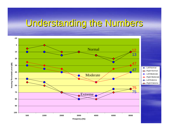# Understanding the Numbers

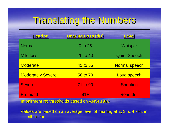# Translating the Numbers Translating the Numbers

| <b>Hearing</b>           | Hearing Loss (dB) | Level                |  |  |  |
|--------------------------|-------------------|----------------------|--|--|--|
| <b>Normal</b>            | 0 to 25           | Whisper              |  |  |  |
| <b>Mild loss</b>         | 26 to 40          | <b>Quiet Speech</b>  |  |  |  |
| <b>Moderate</b>          | 41 to 55          | <b>Normal speech</b> |  |  |  |
| <b>Moderately Severe</b> | 56 to 70          | <b>Loud speech</b>   |  |  |  |
| <b>Severe</b>            | <b>71 to 90</b>   | <b>Shouting</b>      |  |  |  |
| <b>Profound</b>          | $91 +$            | <b>Road drill</b>    |  |  |  |

Impairment re: thresholds based on ANSI 1996

Values are based on an average level of hearing at 2, 3, & 4 kHz in either ear.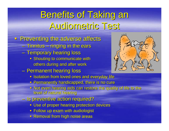# **Benefits of Taking an** Audiometric Test

#### **Preventing the adverse affects**

- Tinnitus – ringing in the ears
- Temporary hearing loss
	- **Shouting to communicate with** others during and after work
- –– Permanent hearing loss
	- **Isolation from loved ones and everyday life**
	- **Permanently handicapped, there is no cure**
	- **Not even hearing aids can restore the quality of life to the** level of natural hearing level of natural hearing
- $-$  Is preventive action required?
	- **Use of proper hearing protection devices**
	- $\textcolor{red}{\bullet}$  Follow up exam with audiologist
	- **Removal from high noise areas**